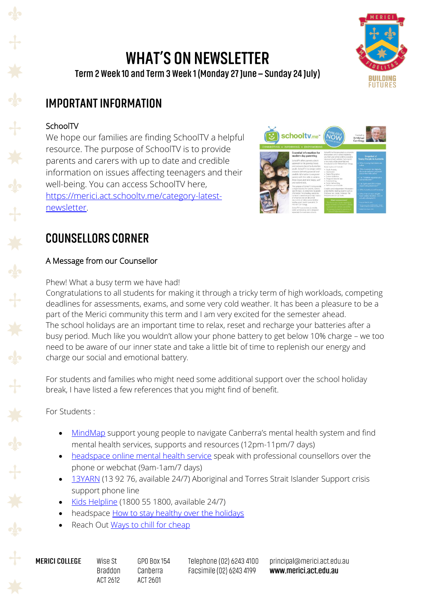### **WHAT'S ON NEWSLETTER** Term 2 Week 10 and Term 3 Week 1 (Monday 27 June - Sunday 24 July)



# **IMPORTANT INFORMATION**

### SchoolTV

We hope our families are finding SchoolTV a helpful resource. The purpose of SchoolTV is to provide parents and carers with up to date and credible information on issues affecting teenagers and their well-being. You can access SchoolTV here, [https://merici.act.schooltv.me/category-latest](https://merici.act.schooltv.me/category-latest-newsletter)[newsletter.](https://merici.act.schooltv.me/category-latest-newsletter)



# **COUNSELLORS CORNER**

### A Message from our Counsellor

Phew! What a busy term we have had!

Congratulations to all students for making it through a tricky term of high workloads, competing deadlines for assessments, exams, and some very cold weather. It has been a pleasure to be a part of the Merici community this term and I am very excited for the semester ahead. The school holidays are an important time to relax, reset and recharge your batteries after a busy period. Much like you wouldn't allow your phone battery to get below 10% charge – we too need to be aware of our inner state and take a little bit of time to replenish our energy and charge our social and emotional battery.

For students and families who might need some additional support over the school holiday break, I have listed a few references that you might find of benefit.

For Students :

- [MindMap](https://www.mindmap.act.gov.au/s/) support young people to navigate Canberra's mental health system and find mental health services, supports and resources (12pm-11pm/7 days)
- [headspace online mental health service](https://headspace.org.au/online-and-phone-support/connect-with-us/talk-about-mental-health/) speak with professional counsellors over the phone or webchat (9am-1am/7 days)
- [13YARN](https://www.13yarn.org.au/) (13 92 76, available 24/7) Aboriginal and Torres Strait Islander Support crisis support phone line
- [Kids Helpline](https://kidshelpline.com.au/) (1800 55 1800, available 24/7)
- headspace [How to stay healthy over the holidays](https://headspace.org.au/young-people/how-to-stay-healthy-over-the-holidays/)
- Reach Out [Ways to chill for cheap](https://au.reachout.com/articles/ways-to-chill-for-cheap)

**MERICI COLLEGE** 

Wise St GPO Box 154 **Braddon** Canberra ACT 2612 ACT 2601

Telephone (02) 6243 4100 Facsimile (02) 6243 4199

principal@merici.act.edu.au www.merici.act.edu.au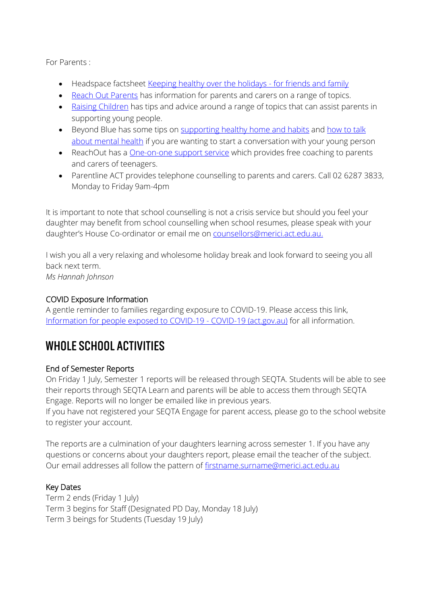For Parents :

- Headspace factsheet [Keeping healthy over the holidays -](https://headspace.org.au/friends-and-family/keeping-healthy-over-the-holidays/) for friends and family
- [Reach Out Parents](https://parents.au.reachout.com/) has information for parents and carers on a range of topics.
- [Raising Children](https://raisingchildren.net.au/) has tips and advice around a range of topics that can assist parents in supporting young people.
- Beyond Blue has some tips on [supporting healthy home and habits](https://healthyfamilies.beyondblue.org.au/healthy-homes/supporting-healthy-habits) and how to talk [about mental health](https://healthyfamilies.beyondblue.org.au/age-13/mental-health-conditions-in-young-people/how-to-talk-about-mental-health) if you are wanting to start a conversation with your young person
- ReachOut has a **One-on-one support service** which provides free coaching to parents and carers of teenagers.
- Parentline ACT provides telephone counselling to parents and carers. Call 02 6287 3833, Monday to Friday 9am-4pm

It is important to note that school counselling is not a crisis service but should you feel your daughter may benefit from school counselling when school resumes, please speak with your daughter's House Co-ordinator or email me on [counsellors@merici.act.edu.au.](mailto:counsellors@merici.act.edu.au)

I wish you all a very relaxing and wholesome holiday break and look forward to seeing you all back next term. *Ms Hannah Johnson*

#### COVID Exposure Information

A gentle reminder to families regarding exposure to COVID-19. Please access this link, [Information for people exposed to COVID-19 -](https://www.covid19.act.gov.au/stay-safe-and-healthy/exposed-to-covid19) COVID-19 (act.gov.au) for all information.

### WHOLE SCHOOL ACTIVITIES

#### End of Semester Reports

On Friday 1 July, Semester 1 reports will be released through SEQTA. Students will be able to see their reports through SEQTA Learn and parents will be able to access them through SEQTA Engage. Reports will no longer be emailed like in previous years.

If you have not registered your SEQTA Engage for parent access, please go to the school website to register your account.

The reports are a culmination of your daughters learning across semester 1. If you have any questions or concerns about your daughters report, please email the teacher of the subject. Our email addresses all follow the pattern of [firstname.surname@merici.act.edu.au](mailto:firstname.surname@merici.act.edu.au)

#### Key Dates

Term 2 ends (Friday 1 July) Term 3 begins for Staff (Designated PD Day, Monday 18 July) Term 3 beings for Students (Tuesday 19 July)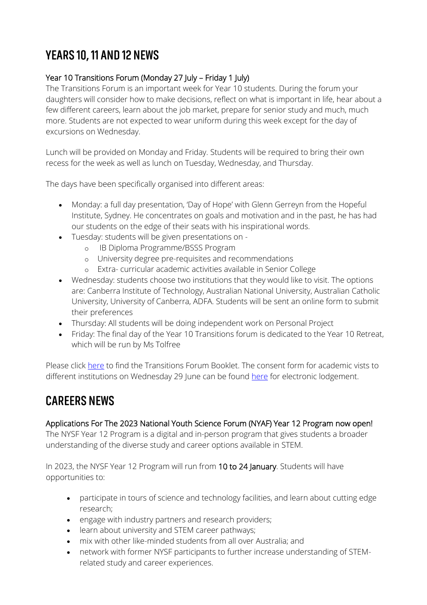# YEARS 10, 11 AND 12 NEWS

### Year 10 Transitions Forum (Monday 27 July – Friday 1 July)

The Transitions Forum is an important week for Year 10 students. During the forum your daughters will consider how to make decisions, reflect on what is important in life, hear about a few different careers, learn about the job market, prepare for senior study and much, much more. Students are not expected to wear uniform during this week except for the day of excursions on Wednesday.

Lunch will be provided on Monday and Friday. Students will be required to bring their own recess for the week as well as lunch on Tuesday, Wednesday, and Thursday.

The days have been specifically organised into different areas:

- Monday: a full day presentation, 'Day of Hope' with Glenn Gerreyn from the Hopeful Institute, Sydney. He concentrates on goals and motivation and in the past, he has had our students on the edge of their seats with his inspirational words.
- Tuesday: students will be given presentations on
	- o IB Diploma Programme/BSSS Program
	- o University degree pre-requisites and recommendations
	- o Extra- curricular academic activities available in Senior College
- Wednesday: students choose two institutions that they would like to visit. The options are: Canberra Institute of Technology, Australian National University, Australian Catholic University, University of Canberra, ADFA. Students will be sent an online form to submit their preferences
- Thursday: All students will be doing independent work on Personal Project
- Friday: The final day of the Year 10 Transitions forum is dedicated to the Year 10 Retreat, which will be run by Ms Tolfree

Please click [here](https://www.merici.act.edu.au/sites/default/files/Year%2010%20Transitions%20Forum%20Booklet%202022.pdf) to find the Transitions Forum Booklet. The consent form for academic vists to different institutions on Wednesday 29 June can be found [here](https://www.merici.act.edu.au/sites/default/files/Merici%20College%20Year%2010%20Academic%20Trips%2029%20June%20Consent.pdf) for electronic lodgement.

# **CAREERS NEWS**

#### Applications For The 2023 National Youth Science Forum (NYAF) Year 12 Program now open!

The NYSF Year 12 Program is a digital and in-person program that gives students a broader understanding of the diverse study and career options available in STEM.

In 2023, the NYSF Year 12 Program will run from 10 to 24 January. Students will have opportunities to:

- participate in tours of science and technology facilities, and learn about cutting edge research;
- engage with industry partners and research providers;
- learn about university and STEM career pathways;
- mix with other like-minded students from all over Australia; and
- network with former NYSF participants to further increase understanding of STEMrelated study and career experiences.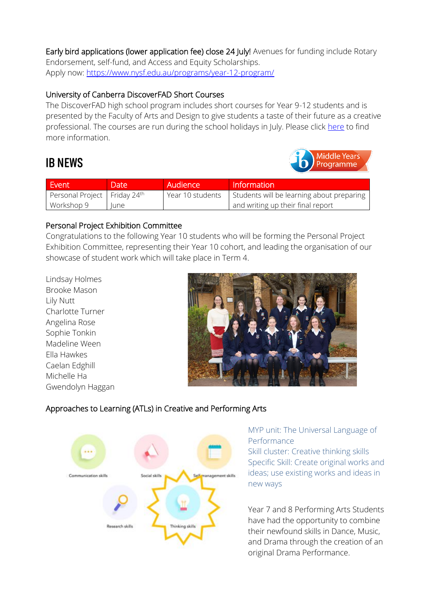Early bird applications (lower application fee) close 24 July! Avenues for funding include Rotary Endorsement, self-fund, and Access and Equity Scholarships. Apply now: [https://www.nysf.edu.au/programs/year-12-program/](https://urldefense.com/v3/__https:/www.nysf.edu.au/programs/year-12-program/__;!!Ax-PnKpllFIIgPxB!ller3xuiX50mbrCAI628kTdqPoQQ7ywr_4D7l_3H-ZISjp0HrHqhh8CHX9GcCY9XmVwNZWnbLZmfTABMALTxnqXbxYkD0ch-6EQ$)

#### University of Canberra DiscoverFAD Short Courses

The DiscoverFAD high school program includes short courses for Year 9-12 students and is presented by the Faculty of Arts and Design to give students a taste of their future as a creative professional. The courses are run during the school holidays in July. Please click [here](https://www.merici.act.edu.au/sites/default/files/UC%20DiscoverFAD%20short%20courses.pdf) to find more information.

### **IB NEWS**



| Event                          | Date ' | Audience         | Information                               |
|--------------------------------|--------|------------------|-------------------------------------------|
| Personal Project   Friday 24th |        | Year 10 students | Students will be learning about preparing |
| Workshop 9                     | lune   |                  | and writing up their final report         |

#### Personal Project Exhibition Committee

Congratulations to the following Year 10 students who will be forming the Personal Project Exhibition Committee, representing their Year 10 cohort, and leading the organisation of our showcase of student work which will take place in Term 4.

Lindsay Holmes Brooke Mason Lily Nutt Charlotte Turner Angelina Rose Sophie Tonkin Madeline Ween Ella Hawkes Caelan Edghill Michelle Ha Gwendolyn Haggan



### Approaches to Learning (ATLs) in Creative and Performing Arts



#### MYP unit: The Universal Language of Performance

Skill cluster: Creative thinking skills Specific Skill: Create original works and ideas; use existing works and ideas in new ways

Year 7 and 8 Performing Arts Students have had the opportunity to combine their newfound skills in Dance, Music, and Drama through the creation of an original Drama Performance.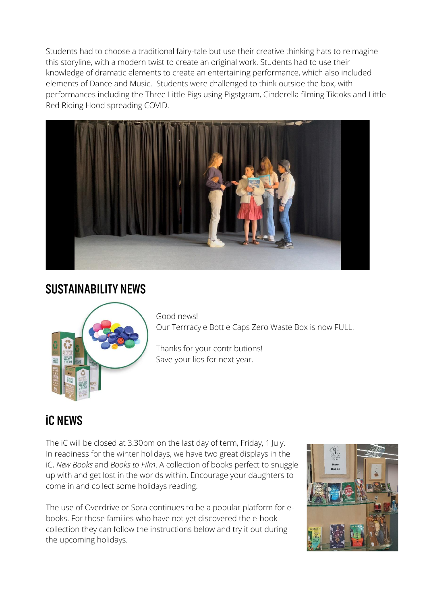Students had to choose a traditional fairy-tale but use their creative thinking hats to reimagine this storyline, with a modern twist to create an original work. Students had to use their knowledge of dramatic elements to create an entertaining performance, which also included elements of Dance and Music. Students were challenged to think outside the box, with performances including the Three Little Pigs using Pigstgram, Cinderella filming Tiktoks and Little Red Riding Hood spreading COVID.



### **SUSTAINABILITY NEWS**



Good news! Our Terrracyle Bottle Caps Zero Waste Box is now FULL.

Thanks for your contributions! Save your lids for next year.

# **iC NEWS**

The iC will be closed at 3:30pm on the last day of term, Friday, 1 July. In readiness for the winter holidays, we have two great displays in the iC, *New Books* and *Books to Film*. A collection of books perfect to snuggle up with and get lost in the worlds within. Encourage your daughters to come in and collect some holidays reading.

The use of Overdrive or Sora continues to be a popular platform for ebooks. For those families who have not yet discovered the e-book collection they can follow the instructions below and try it out during the upcoming holidays.

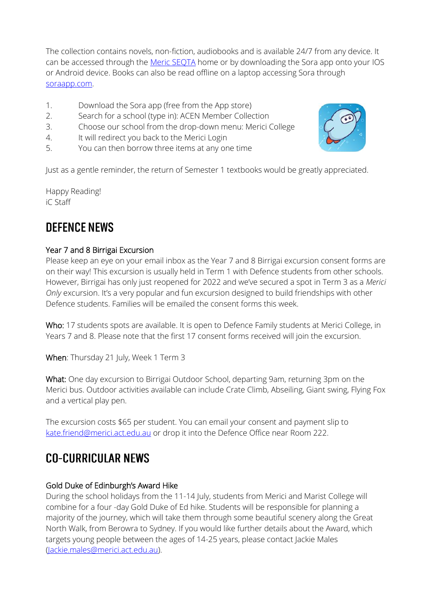The collection contains novels, non-fiction, audiobooks and is available 24/7 from any device. It can be accessed through the [Meric SEQTA](https://teach.merici.act.edu.au/welcome) home or by downloading the Sora app onto your IOS or Android device. Books can also be read offline on a laptop accessing Sora through [soraapp.com.](https://soraapp.com/welcome)

- 1. Download the Sora app (free from the App store)
- 2. Search for a school (type in): ACEN Member Collection
- 3. Choose our school from the drop-down menu: Merici College
- 4. It will redirect you back to the Merici Login
- 5. You can then borrow three items at any one time

Just as a gentle reminder, the return of Semester 1 textbooks would be greatly appreciated.

Happy Reading! iC Staff

# **DEFENCE NEWS**

#### Year 7 and 8 Birrigai Excursion

Please keep an eye on your email inbox as the Year 7 and 8 Birrigai excursion consent forms are on their way! This excursion is usually held in Term 1 with Defence students from other schools. However, Birrigai has only just reopened for 2022 and we've secured a spot in Term 3 as a *Merici Only* excursion. It's a very popular and fun excursion designed to build friendships with other Defence students. Families will be emailed the consent forms this week.

Who: 17 students spots are available. It is open to Defence Family students at Merici College, in Years 7 and 8. Please note that the first 17 consent forms received will join the excursion.

When: Thursday 21 July, Week 1 Term 3

What: One day excursion to Birrigai Outdoor School, departing 9am, returning 3pm on the Merici bus. Outdoor activities available can include Crate Climb, Abseiling, Giant swing, Flying Fox and a vertical play pen.

The excursion costs \$65 per student. You can email your consent and payment slip to [kate.friend@merici.act.edu.au](mailto:kate.friend@merici.act.edu.au) or drop it into the Defence Office near Room 222.

# **CO-CURRICULAR NEWS**

#### Gold Duke of Edinburgh's Award Hike

During the school holidays from the 11-14 July, students from Merici and Marist College will combine for a four -day Gold Duke of Ed hike. Students will be responsible for planning a majority of the journey, which will take them through some beautiful scenery along the Great North Walk, from Berowra to Sydney. If you would like further details about the Award, which targets young people between the ages of 14-25 years, please contact Jackie Males [\(Jackie.males@merici.act.edu.au\)](mailto:Jackie.males@merici.act.edu.au).

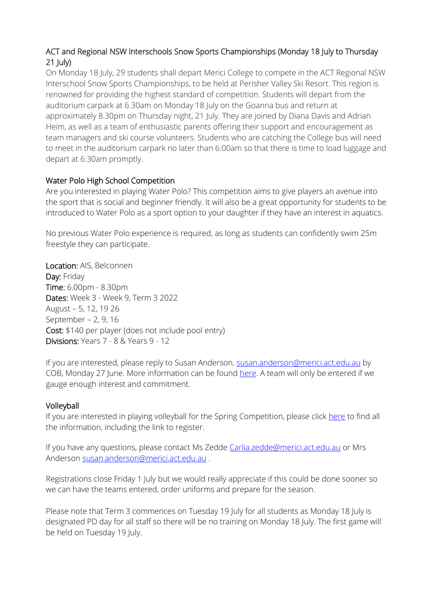#### ACT and Regional NSW Interschools Snow Sports Championships (Monday 18 July to Thursday 21 July)

On Monday 18 July, 29 students shall depart Merici College to compete in the ACT Regional NSW Interschool Snow Sports Championships, to be held at Perisher Valley Ski Resort. This region is renowned for providing the highest standard of competition. Students will depart from the auditorium carpark at 6.30am on Monday 18 July on the Goanna bus and return at approximately 8.30pm on Thursday night, 21 July. They are joined by Diana Davis and Adrian Heim, as well as a team of enthusiastic parents offering their support and encouragement as team managers and ski course volunteers. Students who are catching the College bus will need to meet in the auditorium carpark no later than 6:00am so that there is time to load luggage and depart at 6:30am promptly.

#### Water Polo High School Competition

Are you interested in playing Water Polo? This competition aims to give players an avenue into the sport that is social and beginner friendly. It will also be a great opportunity for students to be introduced to Water Polo as a sport option to your daughter if they have an interest in aquatics.

No previous Water Polo experience is required, as long as students can confidently swim 25m freestyle they can participate.

Location: AIS, Belconnen Day: Friday Time: 6.00pm - 8.30pm Dates: Week 3 - Week 9, Term 3 2022 August – 5, 12, 19 26 September – 2, 9, 16 Cost: \$140 per player (does not include pool entry) Divisions: Years 7 - 8 & Years 9 - 12

If you are interested, please reply to Susan Anderson, [susan.anderson@merici.act.edu.au](mailto:susan.anderson@merici.act.edu.au) by COB, Monday 27 June. More information can be found [here.](https://www.merici.act.edu.au/sites/default/files/CSC%20T3%202022%20-%20STUDENT%20FLYER.pdf) A team will only be entered if we gauge enough interest and commitment.

#### Volleyball

If you are interested in playing volleyball for the Spring Competition, please click [here](https://www.merici.act.edu.au/sites/default/files/Volleyball%20Information%20Letter%202022.pdf) to find all the information, including the link to register.

If you have any questions, please contact Ms Zedde [Carlia.zedde@merici.act.edu.au](mailto:Carlia.zedde@merici.act.edu.au) or Mrs Anderson [susan.anderson@merici.act.edu.au](mailto:susan.anderson@merici.act.edu.au) .

Registrations close Friday 1 July but we would really appreciate if this could be done sooner so we can have the teams entered, order uniforms and prepare for the season.

Please note that Term 3 commences on Tuesday 19 July for all students as Monday 18 July is designated PD day for all staff so there will be no training on Monday 18 July. The first game will be held on Tuesday 19 July.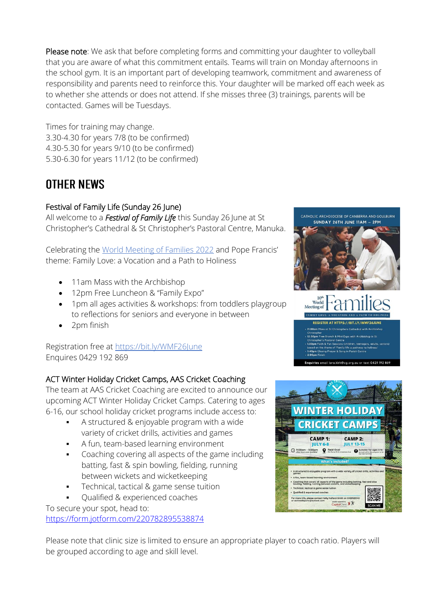Please note: We ask that before completing forms and committing your daughter to volleyball that you are aware of what this commitment entails. Teams will train on Monday afternoons in the school gym. It is an important part of developing teamwork, commitment and awareness of responsibility and parents need to reinforce this. Your daughter will be marked off each week as to whether she attends or does not attend. If she misses three (3) trainings, parents will be contacted. Games will be Tuesdays.

Times for training may change. 3.30-4.30 for years 7/8 (to be confirmed) 4.30-5.30 for years 9/10 (to be confirmed) 5.30-6.30 for years 11/12 (to be confirmed)

# **OTHER NEWS**

### Festival of Family Life (Sunday 26 June)

All welcome to a *Festival of Family Life* this Sunday 26 June at St Christopher's Cathedral & St Christopher's Pastoral Centre, Manuka.

Celebrating the [World Meeting of Families 2022](https://urldefense.com/v3/__https:/nce.catholic.org.au/world-meeting-of-families/events/world-meeting-of-families/world-meeting-of-families__;!!Ax-PnKpllFIIgPxB!gnLyoYfGkvn0V0Gm3VQwuwWvJt5iDTP8LKmePkSWz0aH5Mc6IInb5VnZPUBlPIDxZNfmjpirybFnC_iWWbuK_BZLdUCPdg$) and Pope Francis' theme: Family Love: a Vocation and a Path to Holiness

- 11am Mass with the Archbishop
- 12pm Free Luncheon & "Family Expo"
- 1pm all ages activities & workshops: from toddlers playgroup to reflections for seniors and everyone in between
- 2pm finish

Registration free at [https://bit.ly/WMF26June](https://urldefense.com/v3/__https:/bit.ly/WMF26June__;!!Ax-PnKpllFIIgPxB!gnLyoYfGkvn0V0Gm3VQwuwWvJt5iDTP8LKmePkSWz0aH5Mc6IInb5VnZPUBlPIDxZNfmjpirybFnC_iWWbuK_BaBcg6VZQ$) Enquires 0429 192 869

### ACT Winter Holiday Cricket Camps, AAS Cricket Coaching

The team at AAS Cricket Coaching are excited to announce our upcoming ACT Winter Holiday Cricket Camps. Catering to ages 6-16, our school holiday cricket programs include access to:

- A structured & enjoyable program with a wide variety of cricket drills, activities and games
- A fun, team-based learning environment
- Coaching covering all aspects of the game including batting, fast & spin bowling, fielding, running between wickets and wicketkeeping
- Technical, tactical & game sense tuition
- Qualified & experienced coaches

To secure your spot, head to:

[https://form.jotform.com/220782895538874](https://urldefense.com/v3/__https:/form.jotform.com/220782895538874?fbclid=IwAR0L6cTx1uw-46HTXXf4nZBhbk0vwYyZDCqwDxjaSyBGZQZeZulUcnB23Ig__;!!Ax-PnKpllFIIgPxB!iVPyQtj0nNo5JnOylT5VYOrln4dDMy1aMXdF7vk3TxcRyNcKSxBu9-4J9uzSHaVIYmO_vT8s60Q56yLskHINC3oWxuxQTQyTkIg$)

Please note that clinic size is limited to ensure an appropriate player to coach ratio. Players will be grouped according to age and skill level.